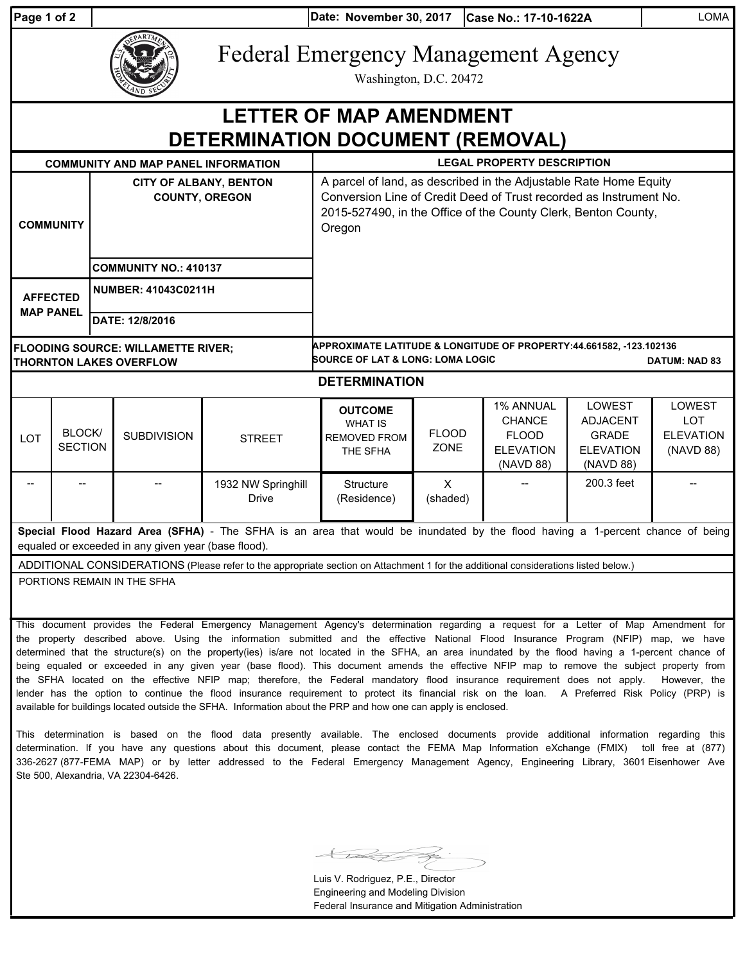| <sup>⊃</sup> aɑe 1 of |  |  |
|-----------------------|--|--|
|                       |  |  |

**Date: Case No.: 17-10-1622A** LOMA **Page 1 of 2 November 30, 2017**

Federal Emergency Management Agency

Washington, D.C. 20472

## **DETERMINATION DOCUMENT (REMOVAL) LETTER OF MAP AMENDMENT**

| <b>COMMUNITY AND MAP PANEL INFORMATION</b>                                                                                                                                            |                                |                                                        |                             |                                    | <b>LEGAL PROPERTY DESCRIPTION</b>                                                                                                                                                                                   |                          |                                                                                    |                                                                            |                                                       |  |  |
|---------------------------------------------------------------------------------------------------------------------------------------------------------------------------------------|--------------------------------|--------------------------------------------------------|-----------------------------|------------------------------------|---------------------------------------------------------------------------------------------------------------------------------------------------------------------------------------------------------------------|--------------------------|------------------------------------------------------------------------------------|----------------------------------------------------------------------------|-------------------------------------------------------|--|--|
| <b>COMMUNITY</b>                                                                                                                                                                      |                                | <b>CITY OF ALBANY, BENTON</b><br><b>COUNTY, OREGON</b> |                             |                                    | A parcel of land, as described in the Adjustable Rate Home Equity<br>Conversion Line of Credit Deed of Trust recorded as Instrument No.<br>2015-527490, in the Office of the County Clerk, Benton County,<br>Oregon |                          |                                                                                    |                                                                            |                                                       |  |  |
| <b>COMMUNITY NO.: 410137</b>                                                                                                                                                          |                                |                                                        |                             |                                    |                                                                                                                                                                                                                     |                          |                                                                                    |                                                                            |                                                       |  |  |
| <b>AFFECTED</b>                                                                                                                                                                       |                                | <b>NUMBER: 41043C0211H</b>                             |                             |                                    |                                                                                                                                                                                                                     |                          |                                                                                    |                                                                            |                                                       |  |  |
| <b>MAP PANEL</b>                                                                                                                                                                      |                                | DATE: 12/8/2016                                        |                             |                                    |                                                                                                                                                                                                                     |                          |                                                                                    |                                                                            |                                                       |  |  |
| <b>FLOODING SOURCE: WILLAMETTE RIVER;</b><br><b>THORNTON LAKES OVERFLOW</b>                                                                                                           |                                |                                                        |                             |                                    | APPROXIMATE LATITUDE & LONGITUDE OF PROPERTY:44.661582.                -123.102136<br><b>SOURCE OF LAT &amp; LONG: LOMA LOGIC</b><br><b>DATUM: NAD 83</b>                                                           |                          |                                                                                    |                                                                            |                                                       |  |  |
| <b>DETERMINATION</b>                                                                                                                                                                  |                                |                                                        |                             |                                    |                                                                                                                                                                                                                     |                          |                                                                                    |                                                                            |                                                       |  |  |
| <b>LOT</b>                                                                                                                                                                            | <b>BLOCK</b><br><b>SECTION</b> |                                                        | <b>SUBDIVISION</b>          | <b>STREET</b>                      | <b>OUTCOME</b><br><b>WHAT IS</b><br><b>REMOVED FROM</b><br>THE SFHA                                                                                                                                                 | <b>FLOOD</b><br>ZONE     | <b>1% ANNUAL</b><br><b>CHANCE</b><br><b>FLOOD</b><br><b>ELEVATION</b><br>(NAVD 88) | LOWEST<br><b>ADJACENT</b><br><b>GRADE</b><br><b>ELEVATION</b><br>(NAVD 88) | LOWEST<br><b>LOT</b><br><b>ELEVATION</b><br>(NAVD 88) |  |  |
|                                                                                                                                                                                       |                                |                                                        |                             | 1932 NW Springhill<br><b>Drive</b> | Structure<br>(Residence)                                                                                                                                                                                            | $\mathsf{x}$<br>(shaded) |                                                                                    | 200.3 feet                                                                 |                                                       |  |  |
| Special Flood Hazard Area (SFHA) - The SFHA is an area that would be inundated by the flood having a 1-percent chance of being<br>equaled or exceeded in any given year (base flood). |                                |                                                        |                             |                                    |                                                                                                                                                                                                                     |                          |                                                                                    |                                                                            |                                                       |  |  |
| ADDITIONAL CONSIDERATIONS (Please refer to the appropriate section on Attachment 1 for the additional considerations listed below.)                                                   |                                |                                                        |                             |                                    |                                                                                                                                                                                                                     |                          |                                                                                    |                                                                            |                                                       |  |  |
|                                                                                                                                                                                       |                                |                                                        | PORTIONS REMAIN IN THE SFHA |                                    |                                                                                                                                                                                                                     |                          |                                                                                    |                                                                            |                                                       |  |  |

This document provides the Federal Emergency Management Agency's determination regarding a request for a Letter of Map Amendment for the property described above. Using the information submitted and the effective National Flood Insurance Program (NFIP) map, we have determined that the structure(s) on the property(ies) is/are not located in the SFHA, an area inundated by the flood having a 1-percent chance of being equaled or exceeded in any given year (base flood). This document amends the effective NFIP map to remove the subject property from the SFHA located on the effective NFIP map; therefore, the Federal mandatory flood insurance requirement does not apply. However, the lender has the option to continue the flood insurance requirement to protect its financial risk on the loan. A Preferred Risk Policy (PRP) is available for buildings located outside the SFHA. Information about the PRP and how one can apply is enclosed.

This determination is based on the flood data presently available. The enclosed documents provide additional information regarding this determination. If you have any questions about this document, please contact the FEMA Map Information eXchange (FMIX) toll free at (877) 336-2627 (877-FEMA MAP) or by letter addressed to the Federal Emergency Management Agency, Engineering Library, 3601 Eisenhower Ave Ste 500, Alexandria, VA 22304-6426.

Luis V. Rodriguez, P.E., Director Engineering and Modeling Division Federal Insurance and Mitigation Administration